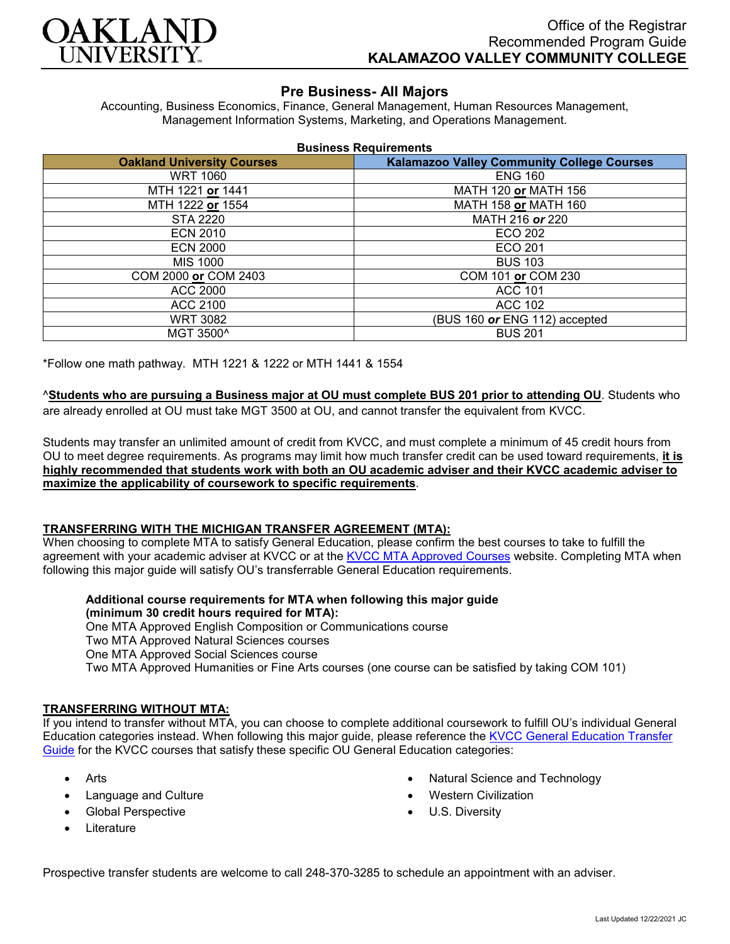

# **Pre Business- All Majors**

Accounting, Business Economics, Finance, General Management, Human Resources Management, Management Information Systems, Marketing, and Operations Management.

| <b>Business Requirements</b> |
|------------------------------|
|------------------------------|

| <b>Oakland University Courses</b> | <b>Kalamazoo Valley Community College Courses</b> |
|-----------------------------------|---------------------------------------------------|
| <b>WRT 1060</b>                   | <b>ENG 160</b>                                    |
| MTH 1221 or 1441                  | MATH 120 or MATH 156                              |
| MTH 1222 or 1554                  | MATH 158 or MATH 160                              |
| <b>STA 2220</b>                   | MATH 216 or 220                                   |
| <b>ECN 2010</b>                   | ECO 202                                           |
| <b>ECN 2000</b>                   | ECO 201                                           |
| <b>MIS 1000</b>                   | <b>BUS 103</b>                                    |
| COM 2000 or COM 2403              | COM 101 or COM 230                                |
| <b>ACC 2000</b>                   | <b>ACC 101</b>                                    |
| ACC 2100                          | ACC 102                                           |
| <b>WRT 3082</b>                   | (BUS 160 or ENG 112) accepted                     |
| MGT 3500^                         | <b>BUS 201</b>                                    |

\*Follow one math pathway. MTH 1221 & 1222 or MTH 1441 & 1554

^**Students who are pursuing a Business major at OU must complete BUS 201 prior to attending OU**. Students who are already enrolled at OU must take MGT 3500 at OU, and cannot transfer the equivalent from KVCC.

Students may transfer an unlimited amount of credit from KVCC, and must complete a minimum of 45 credit hours from OU to meet degree requirements. As programs may limit how much transfer credit can be used toward requirements, **it is highly recommended that students work with both an OU academic adviser and their KVCC academic adviser to maximize the applicability of coursework to specific requirements**.

### **TRANSFERRING WITH THE MICHIGAN TRANSFER AGREEMENT (MTA):**

When choosing to complete MTA to satisfy General Education, please confirm the best courses to take to fulfill the agreement with your academic adviser at KVCC or at the [KVCC MTA Approved Courses](https://www.kvcc.edu/programs/mta.php) website. Completing MTA when following this major guide will satisfy OU's transferrable General Education requirements.

**Additional course requirements for MTA when following this major guide (minimum 30 credit hours required for MTA):**

One MTA Approved English Composition or Communications course Two MTA Approved Natural Sciences courses

One MTA Approved Social Sciences course

Two MTA Approved Humanities or Fine Arts courses (one course can be satisfied by taking COM 101)

## **TRANSFERRING WITHOUT MTA:**

If you intend to transfer without MTA, you can choose to complete additional coursework to fulfill OU's individual General Education categories instead. When following this major guide, please reference the [KVCC General Education Transfer](https://www.oakland.edu/Assets/Oakland/program-guides/kalamazoo-valley-community-college/university-general-education-requirements/Kalamazoo%20Valley%20Gen%20Ed.pdf)  [Guide](https://www.oakland.edu/Assets/Oakland/program-guides/kalamazoo-valley-community-college/university-general-education-requirements/Kalamazoo%20Valley%20Gen%20Ed.pdf) for the KVCC courses that satisfy these specific OU General Education categories:

- Arts
- Language and Culture
- Global Perspective
- **Literature**
- Natural Science and Technology
- Western Civilization
- U.S. Diversity

Prospective transfer students are welcome to call 248-370-3285 to schedule an appointment with an adviser.